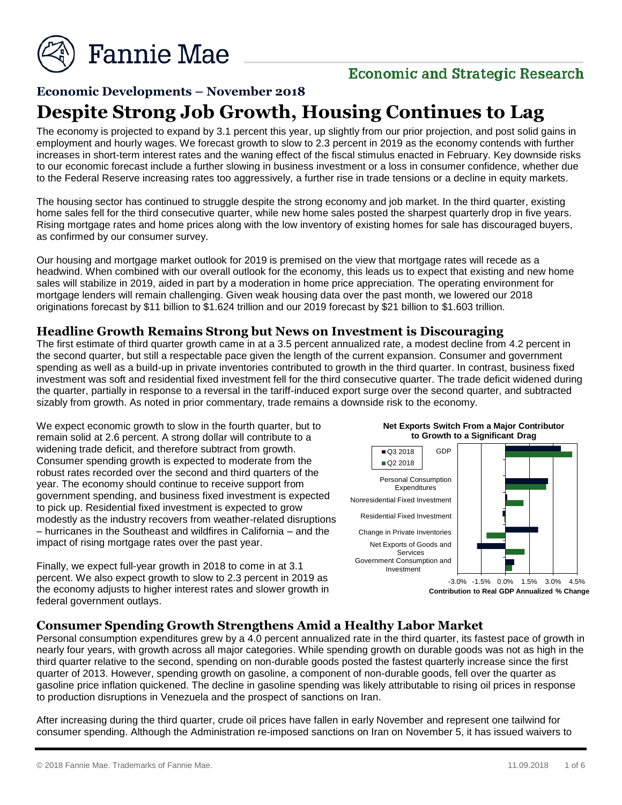

# **Economic and Strategic Research**

# **Economic Developments – November 2018 Despite Strong Job Growth, Housing Continues to Lag**

The economy is projected to expand by 3.1 percent this year, up slightly from our prior projection, and post solid gains in employment and hourly wages. We forecast growth to slow to 2.3 percent in 2019 as the economy contends with further increases in short-term interest rates and the waning effect of the fiscal stimulus enacted in February. Key downside risks to our economic forecast include a further slowing in business investment or a loss in consumer confidence, whether due to the Federal Reserve increasing rates too aggressively, a further rise in trade tensions or a decline in equity markets.

The housing sector has continued to struggle despite the strong economy and job market. In the third quarter, existing home sales fell for the third consecutive quarter, while new home sales posted the sharpest quarterly drop in five years. Rising mortgage rates and home prices along with the low inventory of existing homes for sale has discouraged buyers, as confirmed by our consumer survey.

Our housing and mortgage market outlook for 2019 is premised on the view that mortgage rates will recede as a headwind. When combined with our overall outlook for the economy, this leads us to expect that existing and new home sales will stabilize in 2019, aided in part by a moderation in home price appreciation. The operating environment for mortgage lenders will remain challenging. Given weak housing data over the past month, we lowered our 2018 originations forecast by \$11 billion to \$1.624 trillion and our 2019 forecast by \$21 billion to \$1.603 trillion.

#### **Headline Growth Remains Strong but News on Investment is Discouraging**

The first estimate of third quarter growth came in at a 3.5 percent annualized rate, a modest decline from 4.2 percent in the second quarter, but still a respectable pace given the length of the current expansion. Consumer and government spending as well as a build-up in private inventories contributed to growth in the third quarter. In contrast, business fixed investment was soft and residential fixed investment fell for the third consecutive quarter. The trade deficit widened during the quarter, partially in response to a reversal in the tariff-induced export surge over the second quarter, and subtracted sizably from growth. As noted in prior commentary, trade remains a downside risk to the economy.

We expect economic growth to slow in the fourth quarter, but to remain solid at 2.6 percent. A strong dollar will contribute to a widening trade deficit, and therefore subtract from growth. Consumer spending growth is expected to moderate from the robust rates recorded over the second and third quarters of the year. The economy should continue to receive support from government spending, and business fixed investment is expected to pick up. Residential fixed investment is expected to grow modestly as the industry recovers from weather-related disruptions – hurricanes in the Southeast and wildfires in California – and the impact of rising mortgage rates over the past year.

Finally, we expect full-year growth in 2018 to come in at 3.1 percent. We also expect growth to slow to 2.3 percent in 2019 as the economy adjusts to higher interest rates and slower growth in federal government outlays.





**Contribution to Real GDP Annualized % Change**

#### **Consumer Spending Growth Strengthens Amid a Healthy Labor Market**

Personal consumption expenditures grew by a 4.0 percent annualized rate in the third quarter, its fastest pace of growth in nearly four years, with growth across all major categories. While spending growth on durable goods was not as high in the third quarter relative to the second, spending on non-durable goods posted the fastest quarterly increase since the first quarter of 2013. However, spending growth on gasoline, a component of non-durable goods, fell over the quarter as gasoline price inflation quickened. The decline in gasoline spending was likely attributable to rising oil prices in response to production disruptions in Venezuela and the prospect of sanctions on Iran.

After increasing during the third quarter, crude oil prices have fallen in early November and represent one tailwind for consumer spending. Although the Administration re-imposed sanctions on Iran on November 5, it has issued waivers to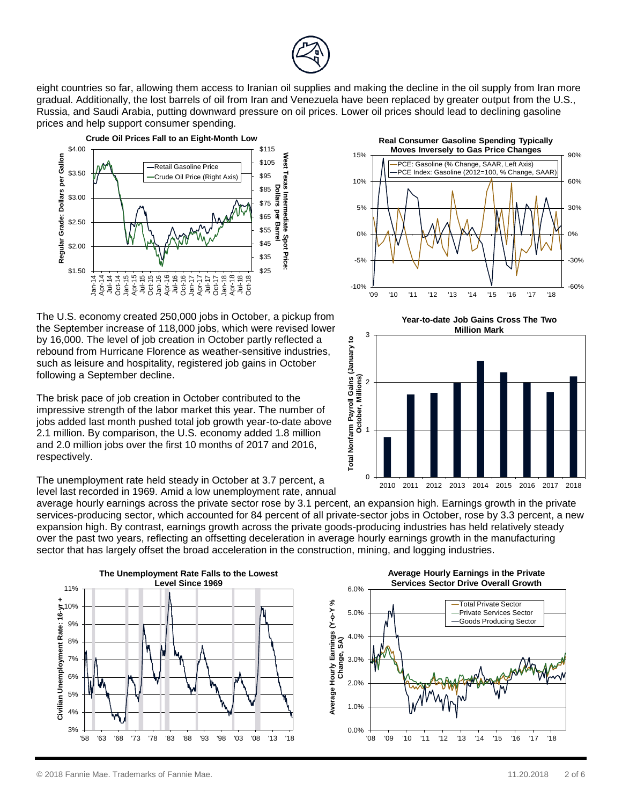eight countries so far, allowing them access to Iranian oil supplies and making the decline in the oil supply from Iran more gradual. Additionally, the lost barrels of oil from Iran and Venezuela have been replaced by greater output from the U.S., Russia, and Saudi Arabia, putting downward pressure on oil prices. Lower oil prices should lead to declining gasoline prices and help support consumer spending.



The U.S. economy created 250,000 jobs in October, a pickup from the September increase of 118,000 jobs, which were revised lower by 16,000. The level of job creation in October partly reflected a rebound from Hurricane Florence as weather-sensitive industries, such as leisure and hospitality, registered job gains in October following a September decline.

The brisk pace of job creation in October contributed to the impressive strength of the labor market this year. The number of jobs added last month pushed total job growth year-to-date above 2.1 million. By comparison, the U.S. economy added 1.8 million and 2.0 million jobs over the first 10 months of 2017 and 2016, respectively.

The unemployment rate held steady in October at 3.7 percent, a level last recorded in 1969. Amid a low unemployment rate, annual

average hourly earnings across the private sector rose by 3.1 percent, an expansion high. Earnings growth in the private services-producing sector, which accounted for 84 percent of all private-sector jobs in October, rose by 3.3 percent, a new expansion high. By contrast, earnings growth across the private goods-producing industries has held relatively steady over the past two years, reflecting an offsetting deceleration in average hourly earnings growth in the manufacturing sector that has largely offset the broad acceleration in the construction, mining, and logging industries.





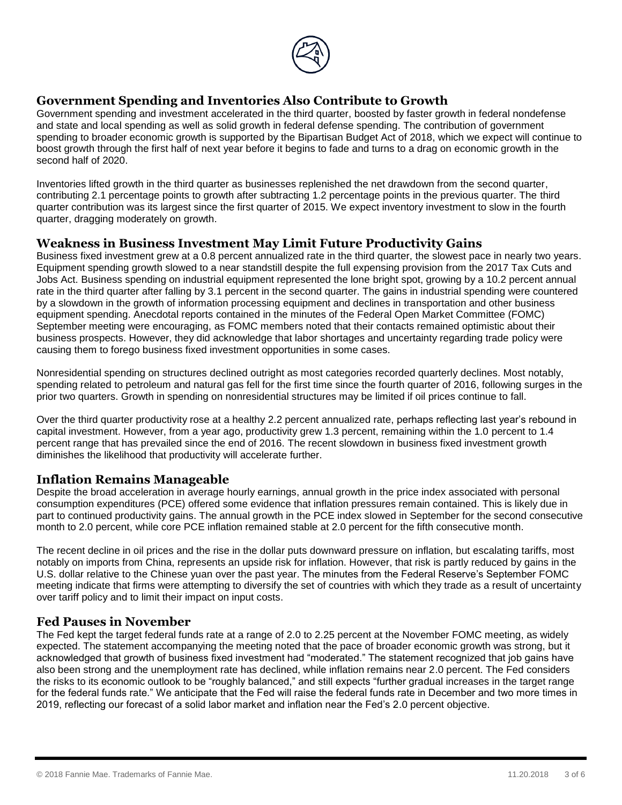

# **Government Spending and Inventories Also Contribute to Growth**

Government spending and investment accelerated in the third quarter, boosted by faster growth in federal nondefense and state and local spending as well as solid growth in federal defense spending. The contribution of government spending to broader economic growth is supported by the Bipartisan Budget Act of 2018, which we expect will continue to boost growth through the first half of next year before it begins to fade and turns to a drag on economic growth in the second half of 2020.

Inventories lifted growth in the third quarter as businesses replenished the net drawdown from the second quarter, contributing 2.1 percentage points to growth after subtracting 1.2 percentage points in the previous quarter. The third quarter contribution was its largest since the first quarter of 2015. We expect inventory investment to slow in the fourth quarter, dragging moderately on growth.

#### **Weakness in Business Investment May Limit Future Productivity Gains**

Business fixed investment grew at a 0.8 percent annualized rate in the third quarter, the slowest pace in nearly two years. Equipment spending growth slowed to a near standstill despite the full expensing provision from the 2017 Tax Cuts and Jobs Act. Business spending on industrial equipment represented the lone bright spot, growing by a 10.2 percent annual rate in the third quarter after falling by 3.1 percent in the second quarter. The gains in industrial spending were countered by a slowdown in the growth of information processing equipment and declines in transportation and other business equipment spending. Anecdotal reports contained in the minutes of the Federal Open Market Committee (FOMC) September meeting were encouraging, as FOMC members noted that their contacts remained optimistic about their business prospects. However, they did acknowledge that labor shortages and uncertainty regarding trade policy were causing them to forego business fixed investment opportunities in some cases.

Nonresidential spending on structures declined outright as most categories recorded quarterly declines. Most notably, spending related to petroleum and natural gas fell for the first time since the fourth quarter of 2016, following surges in the prior two quarters. Growth in spending on nonresidential structures may be limited if oil prices continue to fall.

Over the third quarter productivity rose at a healthy 2.2 percent annualized rate, perhaps reflecting last year's rebound in capital investment. However, from a year ago, productivity grew 1.3 percent, remaining within the 1.0 percent to 1.4 percent range that has prevailed since the end of 2016. The recent slowdown in business fixed investment growth diminishes the likelihood that productivity will accelerate further.

#### **Inflation Remains Manageable**

Despite the broad acceleration in average hourly earnings, annual growth in the price index associated with personal consumption expenditures (PCE) offered some evidence that inflation pressures remain contained. This is likely due in part to continued productivity gains. The annual growth in the PCE index slowed in September for the second consecutive month to 2.0 percent, while core PCE inflation remained stable at 2.0 percent for the fifth consecutive month.

The recent decline in oil prices and the rise in the dollar puts downward pressure on inflation, but escalating tariffs, most notably on imports from China, represents an upside risk for inflation. However, that risk is partly reduced by gains in the U.S. dollar relative to the Chinese yuan over the past year. The minutes from the Federal Reserve's September FOMC meeting indicate that firms were attempting to diversify the set of countries with which they trade as a result of uncertainty over tariff policy and to limit their impact on input costs.

#### **Fed Pauses in November**

The Fed kept the target federal funds rate at a range of 2.0 to 2.25 percent at the November FOMC meeting, as widely expected. The statement accompanying the meeting noted that the pace of broader economic growth was strong, but it acknowledged that growth of business fixed investment had "moderated." The statement recognized that job gains have also been strong and the unemployment rate has declined, while inflation remains near 2.0 percent. The Fed considers the risks to its economic outlook to be "roughly balanced," and still expects "further gradual increases in the target range for the federal funds rate." We anticipate that the Fed will raise the federal funds rate in December and two more times in 2019, reflecting our forecast of a solid labor market and inflation near the Fed's 2.0 percent objective.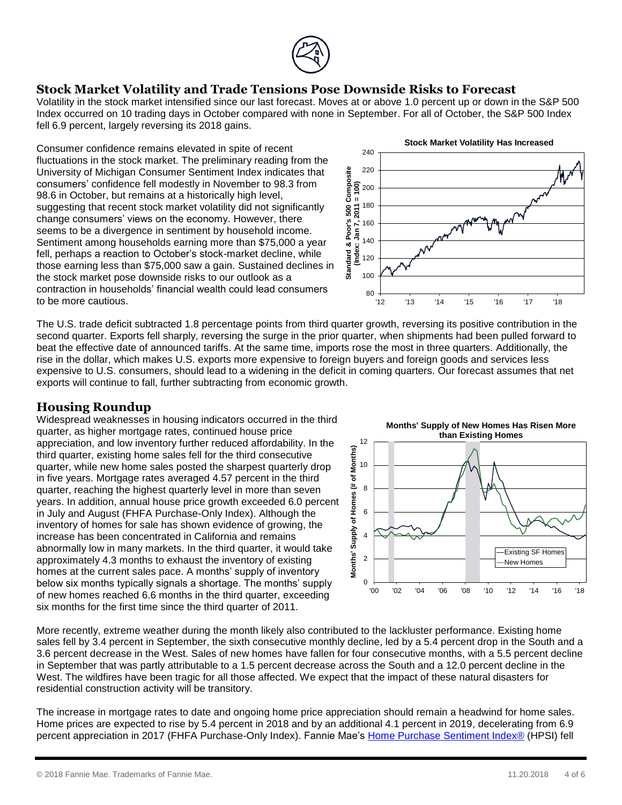

## **Stock Market Volatility and Trade Tensions Pose Downside Risks to Forecast**

Volatility in the stock market intensified since our last forecast. Moves at or above 1.0 percent up or down in the S&P 500 Index occurred on 10 trading days in October compared with none in September. For all of October, the S&P 500 Index fell 6.9 percent, largely reversing its 2018 gains.

Consumer confidence remains elevated in spite of recent fluctuations in the stock market. The preliminary reading from the University of Michigan Consumer Sentiment Index indicates that consumers' confidence fell modestly in November to 98.3 from 98.6 in October, but remains at a historically high level, suggesting that recent stock market volatility did not significantly change consumers' views on the economy. However, there seems to be a divergence in sentiment by household income. Sentiment among households earning more than \$75,000 a year fell, perhaps a reaction to October's stock-market decline, while those earning less than \$75,000 saw a gain. Sustained declines in the stock market pose downside risks to our outlook as a contraction in households' financial wealth could lead consumers to be more cautious.



The U.S. trade deficit subtracted 1.8 percentage points from third quarter growth, reversing its positive contribution in the second quarter. Exports fell sharply, reversing the surge in the prior quarter, when shipments had been pulled forward to beat the effective date of announced tariffs. At the same time, imports rose the most in three quarters. Additionally, the rise in the dollar, which makes U.S. exports more expensive to foreign buyers and foreign goods and services less expensive to U.S. consumers, should lead to a widening in the deficit in coming quarters. Our forecast assumes that net exports will continue to fall, further subtracting from economic growth.

## **Housing Roundup**

Widespread weaknesses in housing indicators occurred in the third quarter, as higher mortgage rates, continued house price appreciation, and low inventory further reduced affordability. In the third quarter, existing home sales fell for the third consecutive quarter, while new home sales posted the sharpest quarterly drop in five years. Mortgage rates averaged 4.57 percent in the third quarter, reaching the highest quarterly level in more than seven years. In addition, annual house price growth exceeded 6.0 percent in July and August (FHFA Purchase-Only Index). Although the inventory of homes for sale has shown evidence of growing, the increase has been concentrated in California and remains abnormally low in many markets. In the third quarter, it would take approximately 4.3 months to exhaust the inventory of existing homes at the current sales pace. A months' supply of inventory below six months typically signals a shortage. The months' supply of new homes reached 6.6 months in the third quarter, exceeding six months for the first time since the third quarter of 2011.

**Months' Supply of New Homes Has Risen More than Existing Homes** 12 Homes (# of Months) **Months' Supply of Homes (# of Months)** 10 8 6  $\overline{\overline{6}}$ **Months' Supply** 4 Existing SF Homes 2 New Homes0 '00 '02 '04 '06 '08 '10 '12 '14 '16 '18

More recently, extreme weather during the month likely also contributed to the lackluster performance. Existing home sales fell by 3.4 percent in September, the sixth consecutive monthly decline, led by a 5.4 percent drop in the South and a 3.6 percent decrease in the West. Sales of new homes have fallen for four consecutive months, with a 5.5 percent decline in September that was partly attributable to a 1.5 percent decrease across the South and a 12.0 percent decline in the West. The wildfires have been tragic for all those affected. We expect that the impact of these natural disasters for residential construction activity will be transitory.

The increase in mortgage rates to date and ongoing home price appreciation should remain a headwind for home sales. Home prices are expected to rise by 5.4 percent in 2018 and by an additional 4.1 percent in 2019, decelerating from 6.9 percent appreciation in 2017 (FHFA Purchase-Only Index). Fannie Mae's [Home Purchase Sentiment Index®](http://www.fanniemae.com/portal/research-insights/forecast.html) (HPSI) fell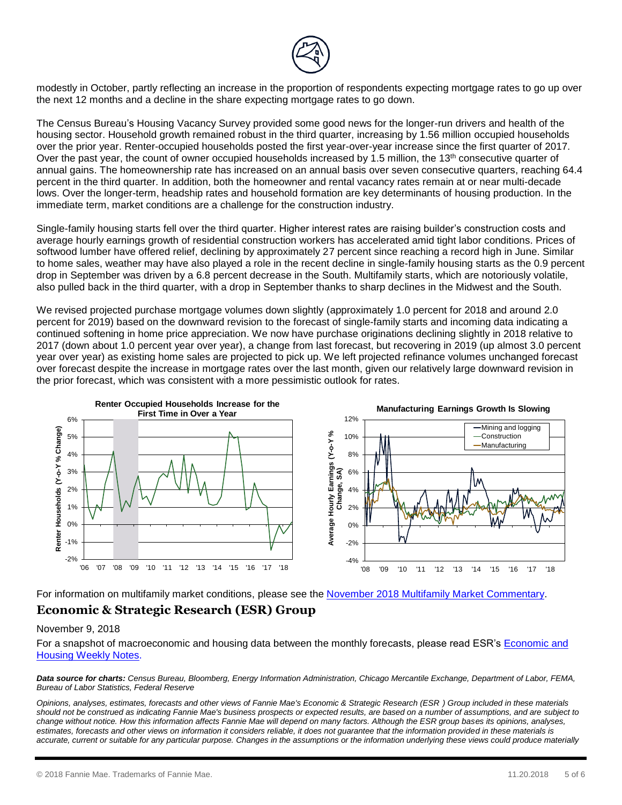

modestly in October, partly reflecting an increase in the proportion of respondents expecting mortgage rates to go up over the next 12 months and a decline in the share expecting mortgage rates to go down.

The Census Bureau's Housing Vacancy Survey provided some good news for the longer-run drivers and health of the housing sector. Household growth remained robust in the third quarter, increasing by 1.56 million occupied households over the prior year. Renter-occupied households posted the first year-over-year increase since the first quarter of 2017. Over the past year, the count of owner occupied households increased by 1.5 million, the 13<sup>th</sup> consecutive quarter of annual gains. The homeownership rate has increased on an annual basis over seven consecutive quarters, reaching 64.4 percent in the third quarter. In addition, both the homeowner and rental vacancy rates remain at or near multi-decade lows. Over the longer-term, headship rates and household formation are key determinants of housing production. In the immediate term, market conditions are a challenge for the construction industry.

Single-family housing starts fell over the third quarter. Higher interest rates are raising builder's construction costs and average hourly earnings growth of residential construction workers has accelerated amid tight labor conditions. Prices of softwood lumber have offered relief, declining by approximately 27 percent since reaching a record high in June. Similar to home sales, weather may have also played a role in the recent decline in single-family housing starts as the 0.9 percent drop in September was driven by a 6.8 percent decrease in the South. Multifamily starts, which are notoriously volatile, also pulled back in the third quarter, with a drop in September thanks to sharp declines in the Midwest and the South.

We revised projected purchase mortgage volumes down slightly (approximately 1.0 percent for 2018 and around 2.0 percent for 2019) based on the downward revision to the forecast of single-family starts and incoming data indicating a continued softening in home price appreciation. We now have purchase originations declining slightly in 2018 relative to 2017 (down about 1.0 percent year over year), a change from last forecast, but recovering in 2019 (up almost 3.0 percent year over year) as existing home sales are projected to pick up. We left projected refinance volumes unchanged forecast over forecast despite the increase in mortgage rates over the last month, given our relatively large downward revision in the prior forecast, which was consistent with a more pessimistic outlook for rates.



For information on multifamily market conditions, please see the November [2018 Multifamily Market Commentary.](http://www.fanniemae.com/portal/research-insights/forecast.html)

#### **Economic & Strategic Research (ESR) Group**

#### November 9, 2018

For a snapshot of macroeconomic and housing data between the monthly forecasts, please read ESR's [Economic and](http://fanniemae.com/portal/research-insights/forecast/weekly-archive.html)  [Housing Weekly Notes.](http://fanniemae.com/portal/research-insights/forecast/weekly-archive.html)

*Data source for charts: Census Bureau, Bloomberg, Energy Information Administration, Chicago Mercantile Exchange, Department of Labor, FEMA, Bureau of Labor Statistics, Federal Reserve*

*Opinions, analyses, estimates, forecasts and other views of Fannie Mae's Economic & Strategic Research (ESR ) Group included in these materials should not be construed as indicating Fannie Mae's business prospects or expected results, are based on a number of assumptions, and are subject to change without notice. How this information affects Fannie Mae will depend on many factors. Although the ESR group bases its opinions, analyses, estimates, forecasts and other views on information it considers reliable, it does not guarantee that the information provided in these materials is*  accurate, current or suitable for any particular purpose. Changes in the assumptions or the information underlying these views could produce materially